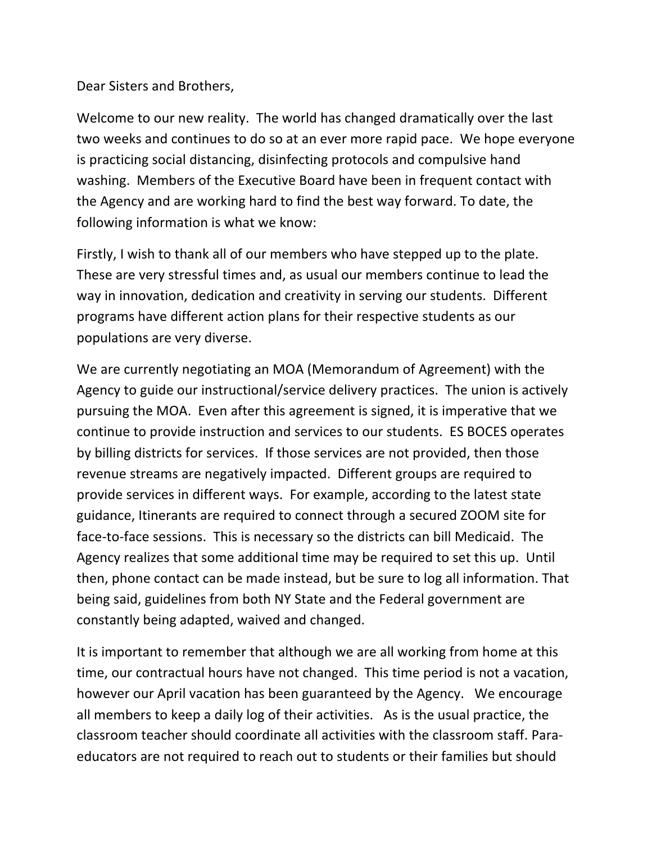Dear Sisters and Brothers,

Welcome to our new reality. The world has changed dramatically over the last two weeks and continues to do so at an ever more rapid pace. We hope everyone is practicing social distancing, disinfecting protocols and compulsive hand washing. Members of the Executive Board have been in frequent contact with the Agency and are working hard to find the best way forward. To date, the following information is what we know:

Firstly, I wish to thank all of our members who have stepped up to the plate. These are very stressful times and, as usual our members continue to lead the way in innovation, dedication and creativity in serving our students. Different programs have different action plans for their respective students as our populations are very diverse.

We are currently negotiating an MOA (Memorandum of Agreement) with the Agency to guide our instructional/service delivery practices. The union is actively pursuing the MOA. Even after this agreement is signed, it is imperative that we continue to provide instruction and services to our students. ES BOCES operates by billing districts for services. If those services are not provided, then those revenue streams are negatively impacted. Different groups are required to provide services in different ways. For example, according to the latest state guidance, Itinerants are required to connect through a secured ZOOM site for face-to-face sessions. This is necessary so the districts can bill Medicaid. The Agency realizes that some additional time may be required to set this up. Until then, phone contact can be made instead, but be sure to log all information. That being said, guidelines from both NY State and the Federal government are constantly being adapted, waived and changed.

It is important to remember that although we are all working from home at this time, our contractual hours have not changed. This time period is not a vacation, however our April vacation has been guaranteed by the Agency. We encourage all members to keep a daily log of their activities. As is the usual practice, the classroom teacher should coordinate all activities with the classroom staff. Paraeducators are not required to reach out to students or their families but should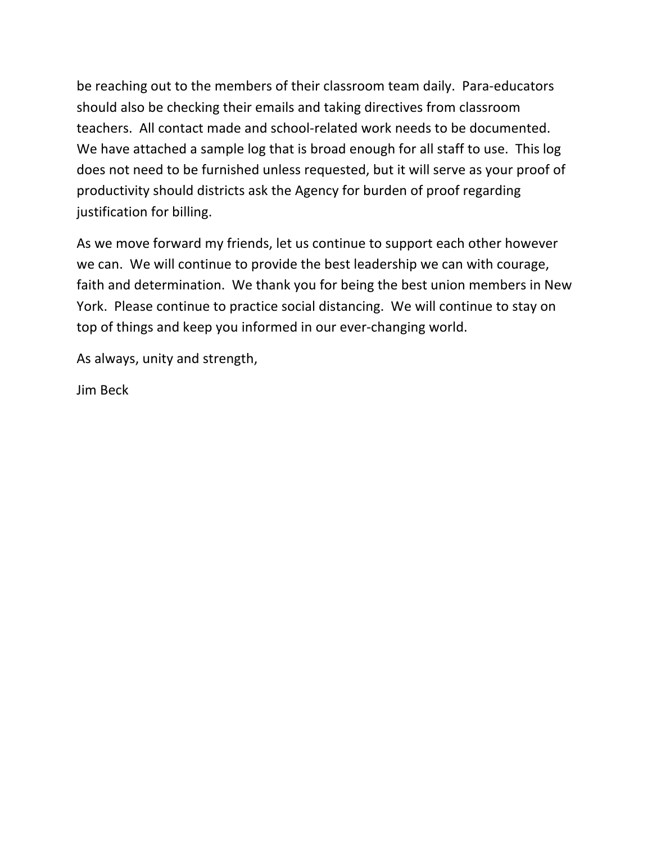be reaching out to the members of their classroom team daily. Para-educators should also be checking their emails and taking directives from classroom teachers. All contact made and school-related work needs to be documented. We have attached a sample log that is broad enough for all staff to use. This log does not need to be furnished unless requested, but it will serve as your proof of productivity should districts ask the Agency for burden of proof regarding justification for billing.

As we move forward my friends, let us continue to support each other however we can. We will continue to provide the best leadership we can with courage, faith and determination. We thank you for being the best union members in New York. Please continue to practice social distancing. We will continue to stay on top of things and keep you informed in our ever-changing world.

As always, unity and strength,

Jim Beck